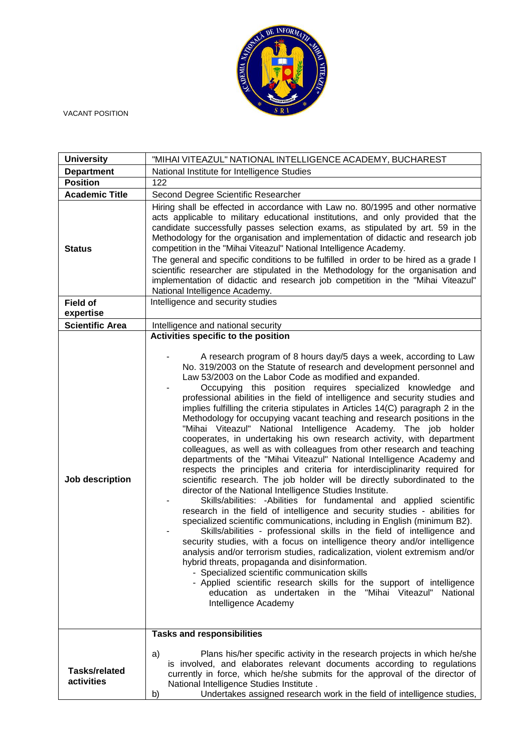

VACANT POSITION

| <b>University</b>                  | "MIHAI VITEAZUL" NATIONAL INTELLIGENCE ACADEMY, BUCHAREST                                                                                                                                                                                                                                                                                                                                                                                                                                                                                                                                                                                                                                                                                                                                                                                                                                                                                                                                                                                                                                                                                                                                                                                                                                                                                                                                                                                                                                                                                                                                                                                                                                                                                                                                                                                                  |
|------------------------------------|------------------------------------------------------------------------------------------------------------------------------------------------------------------------------------------------------------------------------------------------------------------------------------------------------------------------------------------------------------------------------------------------------------------------------------------------------------------------------------------------------------------------------------------------------------------------------------------------------------------------------------------------------------------------------------------------------------------------------------------------------------------------------------------------------------------------------------------------------------------------------------------------------------------------------------------------------------------------------------------------------------------------------------------------------------------------------------------------------------------------------------------------------------------------------------------------------------------------------------------------------------------------------------------------------------------------------------------------------------------------------------------------------------------------------------------------------------------------------------------------------------------------------------------------------------------------------------------------------------------------------------------------------------------------------------------------------------------------------------------------------------------------------------------------------------------------------------------------------------|
| <b>Department</b>                  | National Institute for Intelligence Studies                                                                                                                                                                                                                                                                                                                                                                                                                                                                                                                                                                                                                                                                                                                                                                                                                                                                                                                                                                                                                                                                                                                                                                                                                                                                                                                                                                                                                                                                                                                                                                                                                                                                                                                                                                                                                |
| <b>Position</b>                    | 122                                                                                                                                                                                                                                                                                                                                                                                                                                                                                                                                                                                                                                                                                                                                                                                                                                                                                                                                                                                                                                                                                                                                                                                                                                                                                                                                                                                                                                                                                                                                                                                                                                                                                                                                                                                                                                                        |
| <b>Academic Title</b>              | Second Degree Scientific Researcher                                                                                                                                                                                                                                                                                                                                                                                                                                                                                                                                                                                                                                                                                                                                                                                                                                                                                                                                                                                                                                                                                                                                                                                                                                                                                                                                                                                                                                                                                                                                                                                                                                                                                                                                                                                                                        |
| <b>Status</b>                      | Hiring shall be effected in accordance with Law no. 80/1995 and other normative<br>acts applicable to military educational institutions, and only provided that the<br>candidate successfully passes selection exams, as stipulated by art. 59 in the<br>Methodology for the organisation and implementation of didactic and research job<br>competition in the "Mihai Viteazul" National Intelligence Academy.<br>The general and specific conditions to be fulfilled in order to be hired as a grade I<br>scientific researcher are stipulated in the Methodology for the organisation and<br>implementation of didactic and research job competition in the "Mihai Viteazul"<br>National Intelligence Academy.                                                                                                                                                                                                                                                                                                                                                                                                                                                                                                                                                                                                                                                                                                                                                                                                                                                                                                                                                                                                                                                                                                                                          |
| <b>Field of</b><br>expertise       | Intelligence and security studies                                                                                                                                                                                                                                                                                                                                                                                                                                                                                                                                                                                                                                                                                                                                                                                                                                                                                                                                                                                                                                                                                                                                                                                                                                                                                                                                                                                                                                                                                                                                                                                                                                                                                                                                                                                                                          |
| <b>Scientific Area</b>             | Intelligence and national security                                                                                                                                                                                                                                                                                                                                                                                                                                                                                                                                                                                                                                                                                                                                                                                                                                                                                                                                                                                                                                                                                                                                                                                                                                                                                                                                                                                                                                                                                                                                                                                                                                                                                                                                                                                                                         |
| Job description                    | Activities specific to the position<br>A research program of 8 hours day/5 days a week, according to Law<br>No. 319/2003 on the Statute of research and development personnel and<br>Law 53/2003 on the Labor Code as modified and expanded.<br>Occupying this position requires specialized knowledge and<br>professional abilities in the field of intelligence and security studies and<br>implies fulfilling the criteria stipulates in Articles 14(C) paragraph 2 in the<br>Methodology for occupying vacant teaching and research positions in the<br>"Mihai Viteazul" National Intelligence Academy. The job holder<br>cooperates, in undertaking his own research activity, with department<br>colleagues, as well as with colleagues from other research and teaching<br>departments of the "Mihai Viteazul" National Intelligence Academy and<br>respects the principles and criteria for interdisciplinarity required for<br>scientific research. The job holder will be directly subordinated to the<br>director of the National Intelligence Studies Institute.<br>Skills/abilities: - Abilities for fundamental and applied scientific<br>research in the field of intelligence and security studies - abilities for<br>specialized scientific communications, including in English (minimum B2).<br>Skills/abilities - professional skills in the field of intelligence and<br>security studies, with a focus on intelligence theory and/or intelligence<br>analysis and/or terrorism studies, radicalization, violent extremism and/or<br>hybrid threats, propaganda and disinformation.<br>- Specialized scientific communication skills<br>- Applied scientific research skills for the support of intelligence<br>education as undertaken in the "Mihai Viteazul" National<br>Intelligence Academy<br><b>Tasks and responsibilities</b> |
| <b>Tasks/related</b><br>activities | Plans his/her specific activity in the research projects in which he/she<br>a)<br>is involved, and elaborates relevant documents according to regulations<br>currently in force, which he/she submits for the approval of the director of<br>National Intelligence Studies Institute.<br>Undertakes assigned research work in the field of intelligence studies,<br>b)                                                                                                                                                                                                                                                                                                                                                                                                                                                                                                                                                                                                                                                                                                                                                                                                                                                                                                                                                                                                                                                                                                                                                                                                                                                                                                                                                                                                                                                                                     |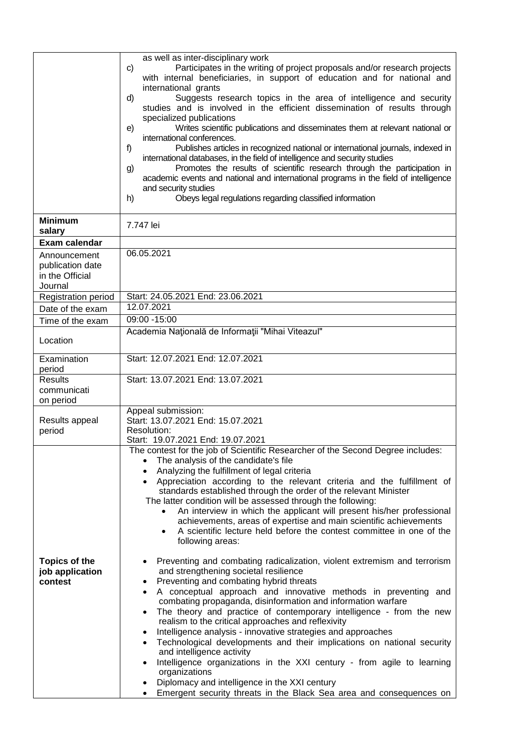|                                     | as well as inter-disciplinary work                                                                                                                   |
|-------------------------------------|------------------------------------------------------------------------------------------------------------------------------------------------------|
|                                     | Participates in the writing of project proposals and/or research projects<br>C)                                                                      |
|                                     | with internal beneficiaries, in support of education and for national and                                                                            |
|                                     | international grants                                                                                                                                 |
|                                     | Suggests research topics in the area of intelligence and security<br>d)<br>studies and is involved in the efficient dissemination of results through |
|                                     | specialized publications                                                                                                                             |
|                                     | Writes scientific publications and disseminates them at relevant national or<br>e)<br>international conferences.                                     |
|                                     | Publishes articles in recognized national or international journals, indexed in<br>f)                                                                |
|                                     | international databases, in the field of intelligence and security studies                                                                           |
|                                     | Promotes the results of scientific research through the participation in<br>g)                                                                       |
|                                     | academic events and national and international programs in the field of intelligence                                                                 |
|                                     | and security studies                                                                                                                                 |
|                                     | Obeys legal regulations regarding classified information<br>h)                                                                                       |
|                                     |                                                                                                                                                      |
| <b>Minimum</b>                      | 7.747 lei                                                                                                                                            |
| salary                              |                                                                                                                                                      |
| Exam calendar                       | 06.05.2021                                                                                                                                           |
| Announcement                        |                                                                                                                                                      |
| publication date<br>in the Official |                                                                                                                                                      |
| Journal                             |                                                                                                                                                      |
| Registration period                 | Start: 24.05.2021 End: 23.06.2021                                                                                                                    |
| Date of the exam                    | 12.07.2021                                                                                                                                           |
| Time of the exam                    | 09:00 -15:00                                                                                                                                         |
|                                     | Academia Națională de Informații "Mihai Viteazul"                                                                                                    |
| Location                            |                                                                                                                                                      |
| Examination                         | Start: 12.07.2021 End: 12.07.2021                                                                                                                    |
| period                              |                                                                                                                                                      |
| <b>Results</b><br>communicati       | Start: 13.07.2021 End: 13.07.2021                                                                                                                    |
| on period                           |                                                                                                                                                      |
|                                     | Appeal submission:                                                                                                                                   |
| Results appeal                      | Start: 13.07.2021 End: 15.07.2021                                                                                                                    |
| period                              | Resolution:                                                                                                                                          |
|                                     | Start: 19.07.2021 End: 19.07.2021                                                                                                                    |
|                                     | The contest for the job of Scientific Researcher of the Second Degree includes:                                                                      |
|                                     | The analysis of the candidate's file<br>$\bullet$<br>Analyzing the fulfillment of legal criteria                                                     |
|                                     | Appreciation according to the relevant criteria and the fulfillment of                                                                               |
|                                     | standards established through the order of the relevant Minister                                                                                     |
|                                     | The latter condition will be assessed through the following:                                                                                         |
|                                     | An interview in which the applicant will present his/her professional                                                                                |
|                                     | achievements, areas of expertise and main scientific achievements                                                                                    |
|                                     | A scientific lecture held before the contest committee in one of the                                                                                 |
|                                     | following areas:                                                                                                                                     |
| <b>Topics of the</b>                | Preventing and combating radicalization, violent extremism and terrorism                                                                             |
| job application                     | and strengthening societal resilience                                                                                                                |
| contest                             | Preventing and combating hybrid threats                                                                                                              |
|                                     | A conceptual approach and innovative methods in preventing and                                                                                       |
|                                     | combating propaganda, disinformation and information warfare                                                                                         |
|                                     | The theory and practice of contemporary intelligence - from the new<br>$\bullet$                                                                     |
|                                     | realism to the critical approaches and reflexivity                                                                                                   |
|                                     | Intelligence analysis - innovative strategies and approaches<br>$\bullet$<br>Technological developments and their implications on national security  |
|                                     | and intelligence activity                                                                                                                            |
|                                     | Intelligence organizations in the XXI century - from agile to learning                                                                               |
|                                     | organizations                                                                                                                                        |
|                                     | Diplomacy and intelligence in the XXI century                                                                                                        |
|                                     | Emergent security threats in the Black Sea area and consequences on                                                                                  |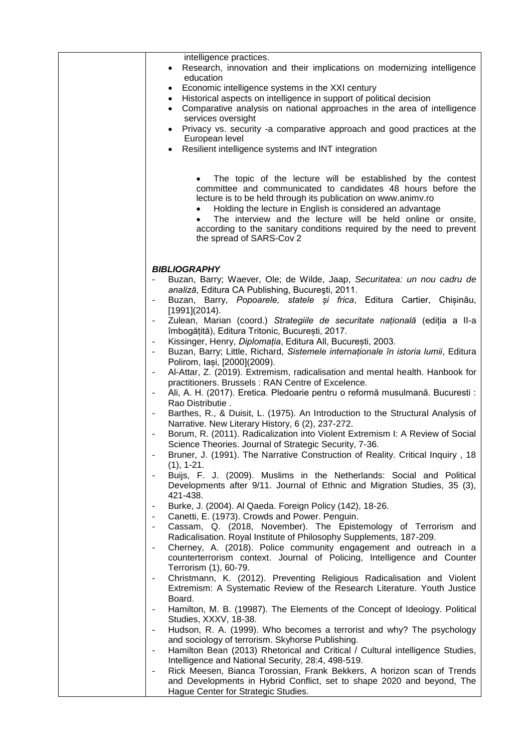| intelligence practices.<br>Research, innovation and their implications on modernizing intelligence<br>$\bullet$<br>education<br>Economic intelligence systems in the XXI century<br>$\bullet$<br>Historical aspects on intelligence in support of political decision<br>٠<br>Comparative analysis on national approaches in the area of intelligence<br>$\bullet$<br>services oversight<br>Privacy vs. security -a comparative approach and good practices at the<br>European level<br>Resilient intelligence systems and INT integration<br>$\bullet$<br>The topic of the lecture will be established by the contest<br>committee and communicated to candidates 48 hours before the<br>lecture is to be held through its publication on www.animv.ro<br>Holding the lecture in English is considered an advantage<br>The interview and the lecture will be held online or onsite,<br>according to the sanitary conditions required by the need to prevent<br>the spread of SARS-Cov 2 |
|-----------------------------------------------------------------------------------------------------------------------------------------------------------------------------------------------------------------------------------------------------------------------------------------------------------------------------------------------------------------------------------------------------------------------------------------------------------------------------------------------------------------------------------------------------------------------------------------------------------------------------------------------------------------------------------------------------------------------------------------------------------------------------------------------------------------------------------------------------------------------------------------------------------------------------------------------------------------------------------------|
| <b>BIBLIOGRAPHY</b><br>Buzan, Barry; Waever, Ole; de Wilde, Jaap, Securitatea: un nou cadru de<br>analiză, Editura CA Publishing, București, 2011.<br>Buzan, Barry, Popoarele, statele și frica, Editura Cartier, Chișinău,<br>[1991](2014).<br>Zulean, Marian (coord.) Strategiile de securitate națională (ediția a II-a                                                                                                                                                                                                                                                                                                                                                                                                                                                                                                                                                                                                                                                              |
| îmbogățită), Editura Tritonic, București, 2017.<br>Kissinger, Henry, Diplomația, Editura All, București, 2003.<br>Buzan, Barry; Little, Richard, Sistemele internaționale în istoria lumii, Editura<br>$\blacksquare$<br>Polirom, Iași, [2000](2009).<br>Al-Attar, Z. (2019). Extremism, radicalisation and mental health. Hanbook for<br>$\blacksquare$<br>practitioners. Brussels: RAN Centre of Excelence.                                                                                                                                                                                                                                                                                                                                                                                                                                                                                                                                                                           |
| Ali, A. H. (2017). Eretica. Pledoarie pentru o reformă musulmană. Bucuresti :<br>$\blacksquare$<br>Rao Distributie.<br>Barthes, R., & Duisit, L. (1975). An Introduction to the Structural Analysis of<br>Narrative. New Literary History, 6 (2), 237-272.<br>Borum, R. (2011). Radicalization into Violent Extremism I: A Review of Social<br>Science Theories. Journal of Strategic Security, 7-36.<br>Bruner, J. (1991). The Narrative Construction of Reality. Critical Inquiry, 18                                                                                                                                                                                                                                                                                                                                                                                                                                                                                                 |
| $(1), 1-21.$<br>Buijs, F. J. (2009). Muslims in the Netherlands: Social and Political<br>Developments after 9/11. Journal of Ethnic and Migration Studies, 35 (3),<br>421-438.                                                                                                                                                                                                                                                                                                                                                                                                                                                                                                                                                                                                                                                                                                                                                                                                          |
| Burke, J. (2004). Al Qaeda. Foreign Policy (142), 18-26.<br>$\overline{\phantom{a}}$<br>Canetti, E. (1973). Crowds and Power. Penguin.<br>$\blacksquare$<br>Cassam, Q. (2018, November). The Epistemology of Terrorism and<br>$\overline{\phantom{a}}$<br>Radicalisation. Royal Institute of Philosophy Supplements, 187-209.<br>Cherney, A. (2018). Police community engagement and outreach in a<br>counterterrorism context. Journal of Policing, Intelligence and Counter<br>Terrorism (1), 60-79.                                                                                                                                                                                                                                                                                                                                                                                                                                                                                  |
| Christmann, K. (2012). Preventing Religious Radicalisation and Violent<br>Extremism: A Systematic Review of the Research Literature. Youth Justice<br>Board.<br>Hamilton, M. B. (19987). The Elements of the Concept of Ideology. Political<br>$\overline{\phantom{a}}$                                                                                                                                                                                                                                                                                                                                                                                                                                                                                                                                                                                                                                                                                                                 |
| Studies, XXXV, 18-38.<br>Hudson, R. A. (1999). Who becomes a terrorist and why? The psychology<br>$\overline{\phantom{a}}$<br>and sociology of terrorism. Skyhorse Publishing.<br>Hamilton Bean (2013) Rhetorical and Critical / Cultural intelligence Studies,<br>$\overline{\phantom{a}}$                                                                                                                                                                                                                                                                                                                                                                                                                                                                                                                                                                                                                                                                                             |
| Intelligence and National Security, 28:4, 498-519.<br>Rick Meesen, Bianca Torossian, Frank Bekkers, A horizon scan of Trends<br>and Developments in Hybrid Conflict, set to shape 2020 and beyond, The<br>Hague Center for Strategic Studies.                                                                                                                                                                                                                                                                                                                                                                                                                                                                                                                                                                                                                                                                                                                                           |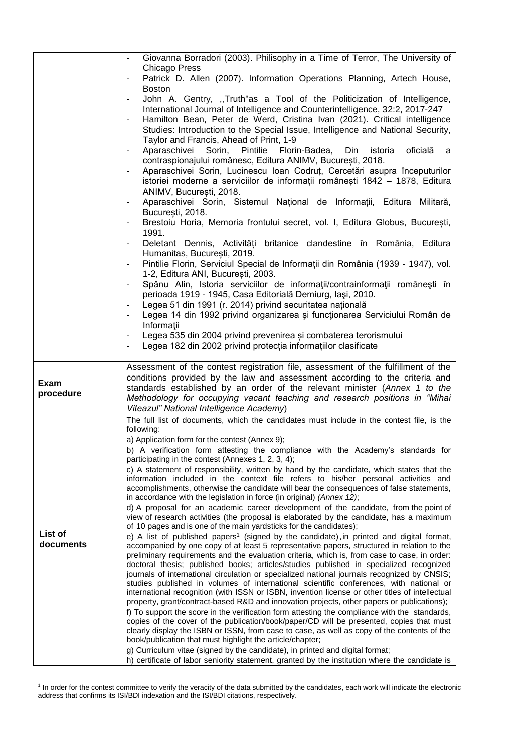|                   | Giovanna Borradori (2003). Philisophy in a Time of Terror, The University of<br><b>Chicago Press</b>                                                                                          |
|-------------------|-----------------------------------------------------------------------------------------------------------------------------------------------------------------------------------------------|
|                   | Patrick D. Allen (2007). Information Operations Planning, Artech House,                                                                                                                       |
|                   | <b>Boston</b><br>John A. Gentry, "Truth"as a Tool of the Politicization of Intelligence,                                                                                                      |
|                   | International Journal of Intelligence and Counterintelligence, 32:2, 2017-247                                                                                                                 |
|                   | Hamilton Bean, Peter de Werd, Cristina Ivan (2021). Critical intelligence                                                                                                                     |
|                   | Studies: Introduction to the Special Issue, Intelligence and National Security,<br>Taylor and Francis, Ahead of Print, 1-9                                                                    |
|                   | Pintilie Florin-Badea,<br>Din<br>oficială<br>Aparaschivei<br>Sorin,<br>istoria<br>а<br>$\blacksquare$                                                                                         |
|                   | contraspionajului românesc, Editura ANIMV, București, 2018.<br>Aparaschivei Sorin, Lucinescu Ioan Codrut, Cercetări asupra începuturilor<br>$\overline{\phantom{a}}$                          |
|                   | istoriei moderne a serviciilor de informații românești 1842 - 1878, Editura<br>ANIMV, București, 2018.                                                                                        |
|                   | Aparaschivei Sorin, Sistemul Național de Informații, Editura Militară,<br>$\blacksquare$<br>București, 2018.                                                                                  |
|                   | Brestoiu Horia, Memoria frontului secret, vol. I, Editura Globus, București,                                                                                                                  |
|                   | 1991.<br>Deletant Dennis, Activități britanice clandestine în România, Editura<br>Humanitas, Bucuresti, 2019.                                                                                 |
|                   | Pintilie Florin, Serviciul Special de Informații din România (1939 - 1947), vol.<br>1-2, Editura ANI, București, 2003.                                                                        |
|                   | Spânu Alin, Istoria serviciilor de informații/contrainformații românești în                                                                                                                   |
|                   | perioada 1919 - 1945, Casa Editorială Demiurg, Iași, 2010.<br>Legea 51 din 1991 (r. 2014) privind securitatea națională<br>$\blacksquare$                                                     |
|                   | Legea 14 din 1992 privind organizarea și funcționarea Serviciului Român de                                                                                                                    |
|                   | Informații<br>Legea 535 din 2004 privind prevenirea și combaterea terorismului                                                                                                                |
|                   | Legea 182 din 2002 privind protecția informațiilor clasificate                                                                                                                                |
|                   |                                                                                                                                                                                               |
|                   |                                                                                                                                                                                               |
|                   | Assessment of the contest registration file, assessment of the fulfillment of the<br>conditions provided by the law and assessment according to the criteria and                              |
| Exam<br>procedure | standards established by an order of the relevant minister (Annex 1 to the                                                                                                                    |
|                   | Methodology for occupying vacant teaching and research positions in "Mihai<br>Viteazul" National Intelligence Academy)                                                                        |
|                   | The full list of documents, which the candidates must include in the contest file, is the                                                                                                     |
|                   | following:<br>a) Application form for the contest (Annex 9);                                                                                                                                  |
|                   | b) A verification form attesting the compliance with the Academy's standards for                                                                                                              |
|                   | participating in the contest (Annexes 1, 2, 3, 4);<br>c) A statement of responsibility, written by hand by the candidate, which states that the                                               |
|                   | information included in the context file refers to his/her personal activities and<br>accomplishments, otherwise the candidate will bear the consequences of false statements,                |
|                   | in accordance with the legislation in force (in original) (Annex 12);                                                                                                                         |
|                   | d) A proposal for an academic career development of the candidate, from the point of<br>view of research activities (the proposal is elaborated by the candidate, has a maximum               |
| List of           | of 10 pages and is one of the main yardsticks for the candidates);<br>e) A list of published papers <sup>1</sup> (signed by the candidate), in printed and digital format,                    |
| documents         | accompanied by one copy of at least 5 representative papers, structured in relation to the                                                                                                    |
|                   | preliminary requirements and the evaluation criteria, which is, from case to case, in order:<br>doctoral thesis; published books; articles/studies published in specialized recognized        |
|                   | journals of international circulation or specialized national journals recognized by CNSIS;<br>studies published in volumes of international scientific conferences, with national or         |
|                   | international recognition (with ISSN or ISBN, invention license or other titles of intellectual<br>property, grant/contract-based R&D and innovation projects, other papers or publications); |
|                   | f) To support the score in the verification form attesting the compliance with the standards,                                                                                                 |
|                   | copies of the cover of the publication/book/paper/CD will be presented, copies that must<br>clearly display the ISBN or ISSN, from case to case, as well as copy of the contents of the       |
|                   | book/publication that must highlight the article/chapter;<br>g) Curriculum vitae (signed by the candidate), in printed and digital format;                                                    |

 1 In order for the contest committee to verify the veracity of the data submitted by the candidates, each work will indicate the electronic address that confirms its ISI/BDI indexation and the ISI/BDI citations, respectively.